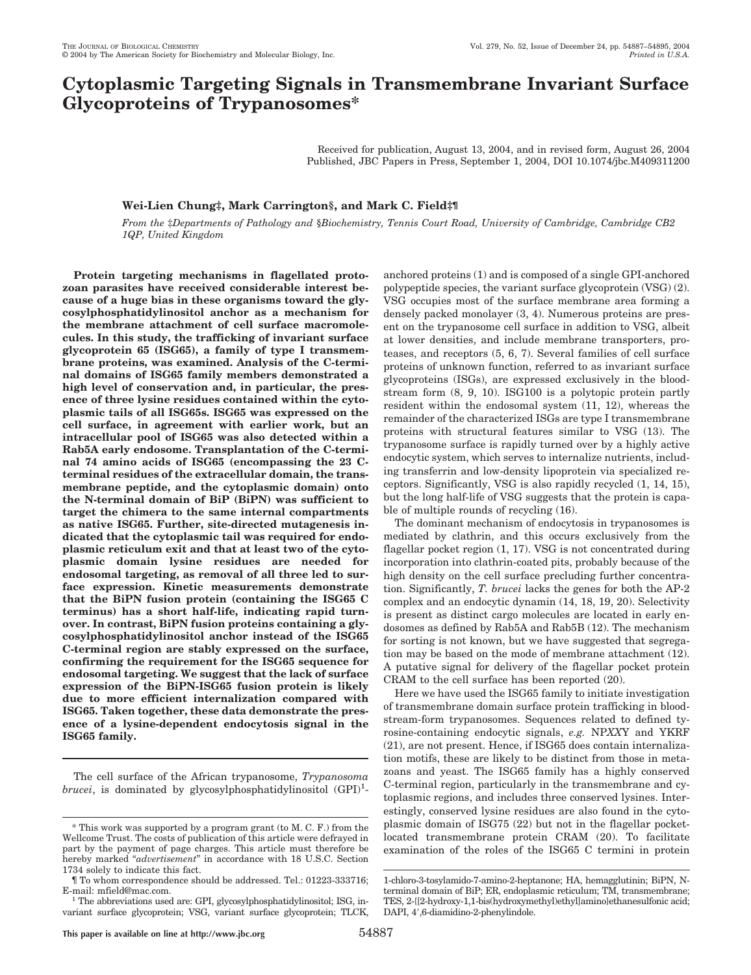## **Cytoplasmic Targeting Signals in Transmembrane Invariant Surface Glycoproteins of Trypanosomes\***

Received for publication, August 13, 2004, and in revised form, August 26, 2004 Published, JBC Papers in Press, September 1, 2004, DOI 10.1074/jbc.M409311200

### **Wei-Lien Chung‡, Mark Carrington§, and Mark C. Field‡¶**

*From the* ‡*Departments of Pathology and* §*Biochemistry, Tennis Court Road, University of Cambridge, Cambridge CB2 1QP, United Kingdom*

**Protein targeting mechanisms in flagellated protozoan parasites have received considerable interest because of a huge bias in these organisms toward the glycosylphosphatidylinositol anchor as a mechanism for the membrane attachment of cell surface macromolecules. In this study, the trafficking of invariant surface glycoprotein 65 (ISG65), a family of type I transmembrane proteins, was examined. Analysis of the C-terminal domains of ISG65 family members demonstrated a high level of conservation and, in particular, the presence of three lysine residues contained within the cytoplasmic tails of all ISG65s. ISG65 was expressed on the cell surface, in agreement with earlier work, but an intracellular pool of ISG65 was also detected within a Rab5A early endosome. Transplantation of the C-terminal 74 amino acids of ISG65 (encompassing the 23 Cterminal residues of the extracellular domain, the transmembrane peptide, and the cytoplasmic domain) onto the N-terminal domain of BiP (BiPN) was sufficient to target the chimera to the same internal compartments as native ISG65. Further, site-directed mutagenesis indicated that the cytoplasmic tail was required for endoplasmic reticulum exit and that at least two of the cytoplasmic domain lysine residues are needed for endosomal targeting, as removal of all three led to surface expression. Kinetic measurements demonstrate that the BiPN fusion protein (containing the ISG65 C terminus) has a short half-life, indicating rapid turnover. In contrast, BiPN fusion proteins containing a glycosylphosphatidylinositol anchor instead of the ISG65 C-terminal region are stably expressed on the surface, confirming the requirement for the ISG65 sequence for endosomal targeting. We suggest that the lack of surface expression of the BiPN-ISG65 fusion protein is likely due to more efficient internalization compared with ISG65. Taken together, these data demonstrate the presence of a lysine-dependent endocytosis signal in the ISG65 family.**

The cell surface of the African trypanosome, *Trypanosoma brucei*, is dominated by glycosylphosphatidylinositol (GPI)<sup>1</sup>- anchored proteins (1) and is composed of a single GPI-anchored polypeptide species, the variant surface glycoprotein (VSG) (2). VSG occupies most of the surface membrane area forming a densely packed monolayer (3, 4). Numerous proteins are present on the trypanosome cell surface in addition to VSG, albeit at lower densities, and include membrane transporters, proteases, and receptors (5, 6, 7). Several families of cell surface proteins of unknown function, referred to as invariant surface glycoproteins (ISGs), are expressed exclusively in the bloodstream form (8, 9, 10). ISG100 is a polytopic protein partly resident within the endosomal system (11, 12), whereas the remainder of the characterized ISGs are type I transmembrane proteins with structural features similar to VSG (13). The trypanosome surface is rapidly turned over by a highly active endocytic system, which serves to internalize nutrients, including transferrin and low-density lipoprotein via specialized receptors. Significantly, VSG is also rapidly recycled (1, 14, 15), but the long half-life of VSG suggests that the protein is capable of multiple rounds of recycling (16).

The dominant mechanism of endocytosis in trypanosomes is mediated by clathrin, and this occurs exclusively from the flagellar pocket region (1, 17). VSG is not concentrated during incorporation into clathrin-coated pits, probably because of the high density on the cell surface precluding further concentration. Significantly, *T. brucei* lacks the genes for both the AP-2 complex and an endocytic dynamin (14, 18, 19, 20). Selectivity is present as distinct cargo molecules are located in early endosomes as defined by Rab5A and Rab5B (12). The mechanism for sorting is not known, but we have suggested that segregation may be based on the mode of membrane attachment (12). A putative signal for delivery of the flagellar pocket protein CRAM to the cell surface has been reported (20).

Here we have used the ISG65 family to initiate investigation of transmembrane domain surface protein trafficking in bloodstream-form trypanosomes. Sequences related to defined tyrosine-containing endocytic signals, *e.g.* NP*XX*Y and YKRF (21), are not present. Hence, if ISG65 does contain internalization motifs, these are likely to be distinct from those in metazoans and yeast. The ISG65 family has a highly conserved C-terminal region, particularly in the transmembrane and cytoplasmic regions, and includes three conserved lysines. Interestingly, conserved lysine residues are also found in the cytoplasmic domain of ISG75 (22) but not in the flagellar pocketlocated transmembrane protein CRAM (20). To facilitate examination of the roles of the ISG65 C termini in protein

<sup>\*</sup> This work was supported by a program grant (to M. C. F.) from the Wellcome Trust. The costs of publication of this article were defrayed in part by the payment of page charges. This article must therefore be hereby marked "*advertisement*" in accordance with 18 U.S.C. Section 1734 solely to indicate this fact.

<sup>¶</sup> To whom correspondence should be addressed. Tel.: 01223-333716;

 $^{\rm 1}$  The abbreviations used are: GPI, glycosylphosphatidylinositol; ISG, invariant surface glycoprotein; VSG, variant surface glycoprotein; TLCK,

<sup>1-</sup>chloro-3-tosylamido-7-amino-2-heptanone; HA, hemagglutinin; BiPN, Nterminal domain of BiP; ER, endoplasmic reticulum; TM, transmembrane; TES, 2-{[2-hydroxy-1,1-bis(hydroxymethyl)ethyl]amino}ethanesulfonic acid; DAPI, 4',6-diamidino-2-phenylindole.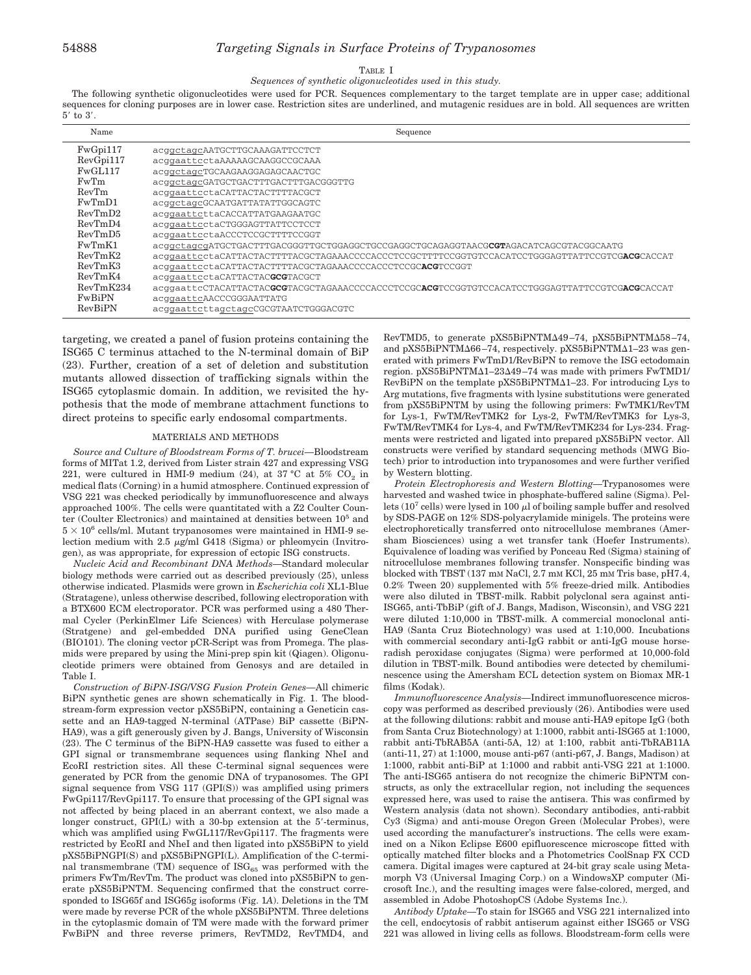### TABLE I

### *Sequences of synthetic oligonucleotides used in this study.*

The following synthetic oligonucleotides were used for PCR. Sequences complementary to the target template are in upper case; additional sequences for cloning purposes are in lower case. Restriction sites are underlined, and mutagenic residues are in bold. All sequences are written  $5'$  to  $3'$ .

| Name              | Sequence                                                                                      |  |  |  |  |  |  |
|-------------------|-----------------------------------------------------------------------------------------------|--|--|--|--|--|--|
| FwGpi117          | acqqctaqcAATGCTTGCAAAGATTCCTCT                                                                |  |  |  |  |  |  |
| RevGpi117         | acqqaattcctaAAAAAGCAAGGCCGCAAA                                                                |  |  |  |  |  |  |
| FwGL117           | acqqctaqcTGCAAGAAGGAGAGCAACTGC                                                                |  |  |  |  |  |  |
| FwTm              | acqqctaqcGATGCTGACTTTGACTTTGACGGGTTG                                                          |  |  |  |  |  |  |
| RevT <sub>m</sub> | acqqaattcctaCATTACTACTTTTACGCT                                                                |  |  |  |  |  |  |
| FwTmD1            | acqqctaqcGCAATGATTATATTGGCAGTC                                                                |  |  |  |  |  |  |
| RevTmD2           | acggaattcttaCACCATTATGAAGAATGC                                                                |  |  |  |  |  |  |
| RevTmD4           | acqqaattcctaCTGGGAGTTATTCCTCCT                                                                |  |  |  |  |  |  |
| RevTmD5           | acqqaattcctaACCCTCCGCTTTTCCGGT                                                                |  |  |  |  |  |  |
| FwTmK1            | acggctagcgATGCTGACTTTGACGGGTTGCTGGAGGCTGCCGAGGCTGCAGAGGTAACGCGTAGACATCAGCGTACGGCAATG          |  |  |  |  |  |  |
| RevTmK2           | acqqaattcctaCATTACTACTTTTACGCTAGAAACCCCACCCTCCGCTTTTCCGGTGTCCACATCCTGGGAGTTATTCCGTCGACGCACCAT |  |  |  |  |  |  |
| RevTmK3           | acqqaattcctaCATTACTACTTTTACGCTAGAAACCCCACCCTCCGCACGTCCGGT                                     |  |  |  |  |  |  |
| RevTmK4           | acqqaattcctaCATTACTACGCGTACGCT                                                                |  |  |  |  |  |  |
| RevTmK234         | acqqaattcCTACATTACTACGCGTACGCTAGAAACCCCACCCTCCGCACGTCCGGTGTCCACATCCTGGGAGTTATTCCGTCGACGCACCAT |  |  |  |  |  |  |
| FwBiPN            | acqqaattcAACCCGGGAATTATG                                                                      |  |  |  |  |  |  |
| <b>RevBiPN</b>    | acqqaattcttaqctaqcCGCGTAATCTGGGACGTC                                                          |  |  |  |  |  |  |

targeting, we created a panel of fusion proteins containing the ISG65 C terminus attached to the N-terminal domain of BiP (23). Further, creation of a set of deletion and substitution mutants allowed dissection of trafficking signals within the ISG65 cytoplasmic domain. In addition, we revisited the hypothesis that the mode of membrane attachment functions to direct proteins to specific early endosomal compartments.

### MATERIALS AND METHODS

*Source and Culture of Bloodstream Forms of T. brucei—*Bloodstream forms of MITat 1.2, derived from Lister strain 427 and expressing VSG 221, were cultured in HMI-9 medium (24), at 37 °C at 5%  $CO<sub>2</sub>$  in medical flats (Corning) in a humid atmosphere. Continued expression of VSG 221 was checked periodically by immunofluorescence and always approached 100%. The cells were quantitated with a Z2 Coulter Counter (Coulter Electronics) and maintained at densities between 10<sup>5</sup> and  $5 \times 10^6$  cells/ml. Mutant trypanosomes were maintained in HMI-9 selection medium with 2.5  $\mu$ g/ml G418 (Sigma) or phleomycin (Invitrogen), as was appropriate, for expression of ectopic ISG constructs.

*Nucleic Acid and Recombinant DNA Methods—*Standard molecular biology methods were carried out as described previously (25), unless otherwise indicated. Plasmids were grown in *Escherichia coli* XL1-Blue (Stratagene), unless otherwise described, following electroporation with a BTX600 ECM electroporator. PCR was performed using a 480 Thermal Cycler (PerkinElmer Life Sciences) with Herculase polymerase (Stratgene) and gel-embedded DNA purified using GeneClean (BIO101). The cloning vector pCR-Script was from Promega. The plasmids were prepared by using the Mini-prep spin kit (Qiagen). Oligonucleotide primers were obtained from Genosys and are detailed in Table I.

*Construction of BiPN-ISG*/*VSG Fusion Protein Genes—*All chimeric BiPN synthetic genes are shown schematically in Fig. 1. The bloodstream-form expression vector pXS5BiPN, containing a Geneticin cassette and an HA9-tagged N-terminal (ATPase) BiP cassette (BiPN-HA9), was a gift generously given by J. Bangs, University of Wisconsin (23). The C terminus of the BiPN-HA9 cassette was fused to either a GPI signal or transmembrane sequences using flanking NheI and EcoRI restriction sites. All these C-terminal signal sequences were generated by PCR from the genomic DNA of trypanosomes. The GPI signal sequence from VSG 117 (GPI(S)) was amplified using primers FwGpi117/RevGpi117. To ensure that processing of the GPI signal was not affected by being placed in an aberrant context, we also made a longer construct, GPI(L) with a 30-bp extension at the 5'-terminus, which was amplified using FwGL117/RevGpi117. The fragments were restricted by EcoRI and NheI and then ligated into pXS5BiPN to yield pXS5BiPNGPI(S) and pXS5BiPNGPI(L). Amplification of the C-terminal transmembrane (TM) sequence of  $ISG_{65}$  was performed with the primers FwTm/RevTm. The product was cloned into pXS5BiPN to generate pXS5BiPNTM. Sequencing confirmed that the construct corresponded to ISG65f and ISG65g isoforms (Fig. 1*A*). Deletions in the TM were made by reverse PCR of the whole pXS5BiPNTM. Three deletions in the cytoplasmic domain of TM were made with the forward primer FwBiPN and three reverse primers, RevTMD2, RevTMD4, and

RevTMD5, to generate pXS5BiPNTM $\Delta 49-74$ , pXS5BiPNTM $\Delta 58-74$ , and pXS5BiPNTM $\Delta 66 - 74$ , respectively. pXS5BiPNTM $\Delta 1-23$  was generated with primers FwTmD1/RevBiPN to remove the ISG ectodomain region. pXS5BiPNTM1–2349 –74 was made with primers FwTMD1/ RevBiPN on the template  $pXS5BiPNTM\Delta1-23$ . For introducing Lys to Arg mutations, five fragments with lysine substitutions were generated from pXS5BiPNTM by using the following primers: FwTMK1/RevTM for Lys-1, FwTM/RevTMK2 for Lys-2, FwTM/RevTMK3 for Lys-3, FwTM/RevTMK4 for Lys-4, and FwTM/RevTMK234 for Lys-234. Fragments were restricted and ligated into prepared pXS5BiPN vector. All constructs were verified by standard sequencing methods (MWG Biotech) prior to introduction into trypanosomes and were further verified by Western blotting.

*Protein Electrophoresis and Western Blotting—*Trypanosomes were harvested and washed twice in phosphate-buffered saline (Sigma). Pellets ( $10^7$  cells) were lysed in 100  $\mu$ l of boiling sample buffer and resolved by SDS-PAGE on 12% SDS-polyacrylamide minigels. The proteins were electrophoretically transferred onto nitrocellulose membranes (Amersham Biosciences) using a wet transfer tank (Hoefer Instruments). Equivalence of loading was verified by Ponceau Red (Sigma) staining of nitrocellulose membranes following transfer. Nonspecific binding was blocked with TBST (137 mM NaCl, 2.7 mM KCl, 25 mM Tris base, pH7.4, 0.2% Tween 20) supplemented with 5% freeze-dried milk. Antibodies were also diluted in TBST-milk. Rabbit polyclonal sera against anti-ISG65, anti-TbBiP (gift of J. Bangs, Madison, Wisconsin), and VSG 221 were diluted 1:10,000 in TBST-milk. A commercial monoclonal anti-HA9 (Santa Cruz Biotechnology) was used at 1:10,000. Incubations with commercial secondary anti-IgG rabbit or anti-IgG mouse horseradish peroxidase conjugates (Sigma) were performed at 10,000-fold dilution in TBST-milk. Bound antibodies were detected by chemiluminescence using the Amersham ECL detection system on Biomax MR-1 films (Kodak).

*Immunofluorescence Analysis—*Indirect immunofluorescence microscopy was performed as described previously (26). Antibodies were used at the following dilutions: rabbit and mouse anti-HA9 epitope IgG (both from Santa Cruz Biotechnology) at 1:1000, rabbit anti-ISG65 at 1:1000, rabbit anti-TbRAB5A (anti-5A, 12) at 1:100, rabbit anti-TbRAB11A (anti-11, 27) at 1:1000, mouse anti-p67 (anti-p67, J. Bangs, Madison) at 1:1000, rabbit anti-BiP at 1:1000 and rabbit anti-VSG 221 at 1:1000. The anti-ISG65 antisera do not recognize the chimeric BiPNTM constructs, as only the extracellular region, not including the sequences expressed here, was used to raise the antisera. This was confirmed by Western analysis (data not shown). Secondary antibodies, anti-rabbit Cy3 (Sigma) and anti-mouse Oregon Green (Molecular Probes), were used according the manufacturer's instructions. The cells were examined on a Nikon Eclipse E600 epifluorescence microscope fitted with optically matched filter blocks and a Photometrics CoolSnap FX CCD camera. Digital images were captured at 24-bit gray scale using Metamorph V3 (Universal Imaging Corp.) on a WindowsXP computer (Microsoft Inc.), and the resulting images were false-colored, merged, and assembled in Adobe PhotoshopCS (Adobe Systems Inc.).

*Antibody Uptake—*To stain for ISG65 and VSG 221 internalized into the cell, endocytosis of rabbit antiserum against either ISG65 or VSG 221 was allowed in living cells as follows. Bloodstream-form cells were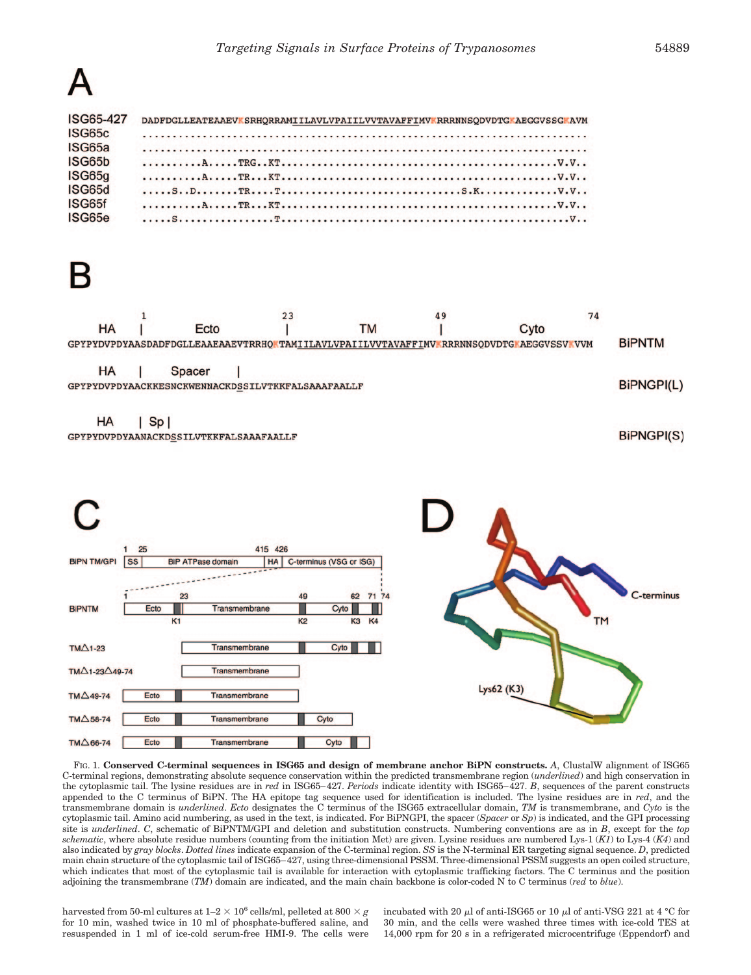| <b>ISG65-427</b> | DADFDGLLEATEAAEV SRHQRRAMIILAVLVPAIILVVTAVAFFIMV RRRNNSQDVDTG AEGGVSSG AVM                                                                                                                                                                                                                                                                                                                                                                                                                   |
|------------------|----------------------------------------------------------------------------------------------------------------------------------------------------------------------------------------------------------------------------------------------------------------------------------------------------------------------------------------------------------------------------------------------------------------------------------------------------------------------------------------------|
| ISG65c           |                                                                                                                                                                                                                                                                                                                                                                                                                                                                                              |
| ISG65a           |                                                                                                                                                                                                                                                                                                                                                                                                                                                                                              |
| ISG65b           | $\ldots \ldots \ldots \ldots \ldots \text{TRG} \ldots \text{KT} \ldots \ldots \ldots \ldots \ldots \ldots \ldots \ldots \ldots \ldots \text{KT} \ldots \text{KT} \ldots \text{KT} \ldots \text{KT} \ldots \text{KT} \ldots \text{KT} \ldots \text{KT} \ldots \text{KT} \ldots \text{KT} \ldots \text{KT} \ldots \text{KT} \ldots \text{KT} \ldots \text{KT} \ldots \text{KT} \ldots \text{KT} \ldots \text{KT} \ldots \text{KT} \ldots \text{KT} \ldots \text{KT} \ldots \text{KT} \ldots \$ |
| ISG65g           |                                                                                                                                                                                                                                                                                                                                                                                                                                                                                              |
| ISG65d           |                                                                                                                                                                                                                                                                                                                                                                                                                                                                                              |
| ISG65f           |                                                                                                                                                                                                                                                                                                                                                                                                                                                                                              |
| ISG65e           |                                                                                                                                                                                                                                                                                                                                                                                                                                                                                              |

# R

|                                                   |    |               |  | 23 |    | 49         | 74                                                                                      |               |
|---------------------------------------------------|----|---------------|--|----|----|------------|-----------------------------------------------------------------------------------------|---------------|
| HA                                                |    | Ecto          |  |    | TM |            | Cyto                                                                                    |               |
|                                                   |    |               |  |    |    |            | GPYPYDVPDYAASDADFDGLLEAAEAAEVTRRHO TAMIILAVLVPAIILVVTAVAFFIMV RRRNNSQDVDTG AEGGVSSV VVM | <b>BiPNTM</b> |
| <b>HA</b>                                         |    | <b>Spacer</b> |  |    |    |            |                                                                                         |               |
| GPYPYDVPDYAACKKESNCKWENNACKDSSILVTKKFALSAAAFAALLF |    |               |  |    |    | BiPNGPI(L) |                                                                                         |               |
| <b>HA</b>                                         | Sp |               |  |    |    |            |                                                                                         |               |

GPYPYDVPDYAANACKDSSILVTKKFALSAAAFAALLF

BiPNGPI(S)



FIG. 1. **Conserved C-terminal sequences in ISG65 and design of membrane anchor BiPN constructs.** *A*, ClustalW alignment of ISG65 C-terminal regions, demonstrating absolute sequence conservation within the predicted transmembrane region (*underlined*) and high conservation in the cytoplasmic tail. The lysine residues are in *red* in ISG65–427. *Periods* indicate identity with ISG65–427. *B*, sequences of the parent constructs appended to the C terminus of BiPN. The HA epitope tag sequence used for identification is included. The lysine residues are in *red*, and the transmembrane domain is *underlined*. *Ecto* designates the C terminus of the ISG65 extracellular domain, *TM* is transmembrane, and *Cyto* is the cytoplasmic tail. Amino acid numbering, as used in the text, is indicated. For BiPNGPI, the spacer (*Spacer* or *Sp*) is indicated, and the GPI processing site is *underlined*. *C*, schematic of BiPNTM/GPI and deletion and substitution constructs. Numbering conventions are as in *B*, except for the *top schematic*, where absolute residue numbers (counting from the initiation Met) are given. Lysine residues are numbered Lys-1 (*K1*) to Lys-4 (*K4*) and also indicated by *gray blocks*. *Dotted lines* indicate expansion of the C-terminal region. *SS* is the N-terminal ER targeting signal sequence. *D*, predicted main chain structure of the cytoplasmic tail of ISG65–427, using three-dimensional PSSM. Three-dimensional PSSM suggests an open coiled structure, which indicates that most of the cytoplasmic tail is available for interaction with cytoplasmic trafficking factors. The C terminus and the position adjoining the transmembrane (*TM*) domain are indicated, and the main chain backbone is color-coded N to C terminus (*red* to *blue*).

harvested from 50-ml cultures at  $1-2 \times 10^6$  cells/ml, pelleted at  $800 \times g$ for 10 min, washed twice in 10 ml of phosphate-buffered saline, and resuspended in 1 ml of ice-cold serum-free HMI-9. The cells were incubated with 20  $\mu$ l of anti-ISG65 or 10  $\mu$ l of anti-VSG 221 at 4 °C for 30 min, and the cells were washed three times with ice-cold TES at 14,000 rpm for 20 s in a refrigerated microcentrifuge (Eppendorf) and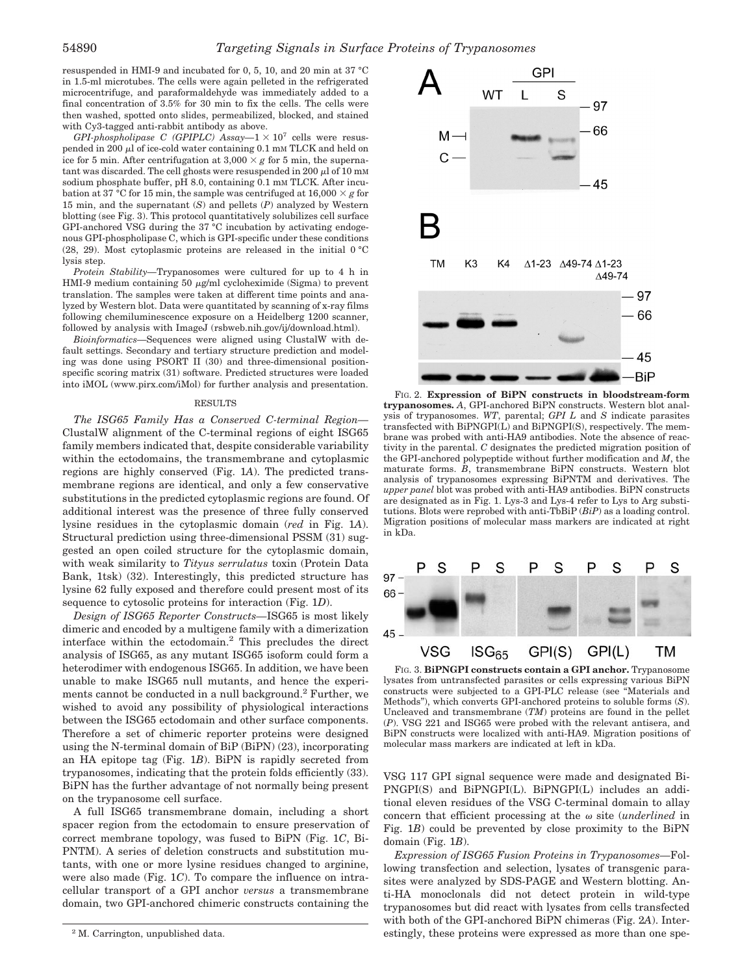resuspended in HMI-9 and incubated for 0, 5, 10, and 20 min at 37 °C in 1.5-ml microtubes. The cells were again pelleted in the refrigerated microcentrifuge, and paraformaldehyde was immediately added to a final concentration of 3.5% for 30 min to fix the cells. The cells were then washed, spotted onto slides, permeabilized, blocked, and stained with Cy3-tagged anti-rabbit antibody as above.

 $GPI-phospholipase$  *C (GPIPLC)* Assay  $-1 \times 10^7$  cells were resuspended in 200  $\mu$ l of ice-cold water containing 0.1 mm TLCK and held on ice for 5 min. After centrifugation at  $3,000 \times g$  for 5 min, the supernatant was discarded. The cell ghosts were resuspended in 200  $\mu$ l of 10 mM sodium phosphate buffer, pH 8.0, containing 0.1 mM TLCK. After incubation at 37 °C for 15 min, the sample was centrifuged at  $16,000 \times g$  for 15 min, and the supernatant (*S*) and pellets (*P*) analyzed by Western blotting (see Fig. 3). This protocol quantitatively solubilizes cell surface GPI-anchored VSG during the 37 °C incubation by activating endogenous GPI-phospholipase C, which is GPI-specific under these conditions (28, 29). Most cytoplasmic proteins are released in the initial 0 °C lysis step.

*Protein Stability—*Trypanosomes were cultured for up to 4 h in HMI-9 medium containing 50  $\mu$ g/ml cycloheximide (Sigma) to prevent translation. The samples were taken at different time points and analyzed by Western blot. Data were quantitated by scanning of x-ray films following chemiluminescence exposure on a Heidelberg 1200 scanner, followed by analysis with ImageJ (rsbweb.nih.gov/ij/download.html).

*Bioinformatics—*Sequences were aligned using ClustalW with default settings. Secondary and tertiary structure prediction and modeling was done using PSORT II (30) and three-dimensional positionspecific scoring matrix (31) software. Predicted structures were loaded into iMOL (www.pirx.com/iMol) for further analysis and presentation.

### RESULTS

*The ISG65 Family Has a Conserved C-terminal Region—* ClustalW alignment of the C-terminal regions of eight ISG65 family members indicated that, despite considerable variability within the ectodomains, the transmembrane and cytoplasmic regions are highly conserved (Fig. 1*A*). The predicted transmembrane regions are identical, and only a few conservative substitutions in the predicted cytoplasmic regions are found. Of additional interest was the presence of three fully conserved lysine residues in the cytoplasmic domain (*red* in Fig. 1*A*). Structural prediction using three-dimensional PSSM (31) suggested an open coiled structure for the cytoplasmic domain, with weak similarity to *Tityus serrulatus* toxin (Protein Data Bank, 1tsk) (32). Interestingly, this predicted structure has lysine 62 fully exposed and therefore could present most of its sequence to cytosolic proteins for interaction (Fig. 1*D*).

*Design of ISG65 Reporter Constructs—*ISG65 is most likely dimeric and encoded by a multigene family with a dimerization interface within the ectodomain.2 This precludes the direct analysis of ISG65, as any mutant ISG65 isoform could form a heterodimer with endogenous ISG65. In addition, we have been unable to make ISG65 null mutants, and hence the experiments cannot be conducted in a null background.<sup>2</sup> Further, we wished to avoid any possibility of physiological interactions between the ISG65 ectodomain and other surface components. Therefore a set of chimeric reporter proteins were designed using the N-terminal domain of BiP (BiPN) (23), incorporating an HA epitope tag (Fig. 1*B*). BiPN is rapidly secreted from trypanosomes, indicating that the protein folds efficiently (33). BiPN has the further advantage of not normally being present on the trypanosome cell surface.

A full ISG65 transmembrane domain, including a short spacer region from the ectodomain to ensure preservation of correct membrane topology, was fused to BiPN (Fig. 1*C*, Bi-PNTM). A series of deletion constructs and substitution mutants, with one or more lysine residues changed to arginine, were also made (Fig. 1*C*). To compare the influence on intracellular transport of a GPI anchor *versus* a transmembrane domain, two GPI-anchored chimeric constructs containing the



FIG. 2. **Expression of BiPN constructs in bloodstream-form trypanosomes.** *A*, GPI-anchored BiPN constructs. Western blot analysis of trypanosomes. *WT*, parental; *GPI L* and *S* indicate parasites transfected with BiPNGPI(L) and BiPNGPI(S), respectively. The membrane was probed with anti-HA9 antibodies. Note the absence of reactivity in the parental. *C* designates the predicted migration position of the GPI-anchored polypeptide without further modification and *M*, the maturate forms. *B*, transmembrane BiPN constructs. Western blot analysis of trypanosomes expressing BiPNTM and derivatives. The *upper panel* blot was probed with anti-HA9 antibodies. BiPN constructs are designated as in Fig. 1. Lys-3 and Lys-4 refer to Lys to Arg substitutions. Blots were reprobed with anti-TbBiP (*BiP*) as a loading control. Migration positions of molecular mass markers are indicated at right in kDa.



FIG. 3. **BiPNGPI constructs contain a GPI anchor.** Trypanosome lysates from untransfected parasites or cells expressing various BiPN constructs were subjected to a GPI-PLC release (see "Materials and Methods"), which converts GPI-anchored proteins to soluble forms (*S*). Uncleaved and transmembrane (*TM*) proteins are found in the pellet (*P*). VSG 221 and ISG65 were probed with the relevant antisera, and BiPN constructs were localized with anti-HA9. Migration positions of molecular mass markers are indicated at left in kDa.

VSG 117 GPI signal sequence were made and designated Bi-PNGPI(S) and BiPNGPI(L). BiPNGPI(L) includes an additional eleven residues of the VSG C-terminal domain to allay concern that efficient processing at the  $\omega$  site *(underlined* in Fig. 1*B*) could be prevented by close proximity to the BiPN domain (Fig. 1*B*).

*Expression of ISG65 Fusion Proteins in Trypanosomes—*Following transfection and selection, lysates of transgenic parasites were analyzed by SDS-PAGE and Western blotting. Anti-HA monoclonals did not detect protein in wild-type trypanosomes but did react with lysates from cells transfected with both of the GPI-anchored BiPN chimeras (Fig. 2*A*). Inter-<sup>2</sup> M. Carrington, unpublished data. These proteins were expressed as more than one spe-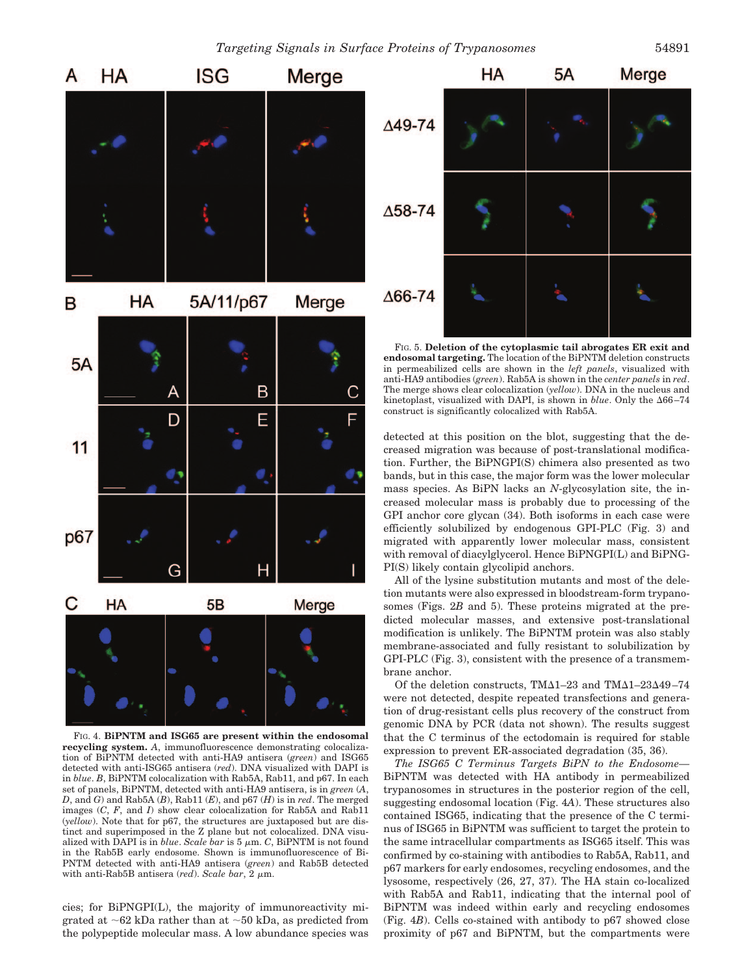



FIG. 4. **BiPNTM and ISG65 are present within the endosomal recycling system.** *A*, immunofluorescence demonstrating colocalization of BiPNTM detected with anti-HA9 antisera (*green*) and ISG65 detected with anti-ISG65 antisera (*red*). DNA visualized with DAPI is in *blue*. *B*, BiPNTM colocalization with Rab5A, Rab11, and p67. In each set of panels, BiPNTM, detected with anti-HA9 antisera, is in *green* (*A*, *D*, and *G*) and Rab5A (*B*), Rab11 (*E*), and p67 (*H*) is in *red*. The merged images (*C*, *F*, and *I*) show clear colocalization for Rab5A and Rab11 (*yellow*). Note that for p67, the structures are juxtaposed but are distinct and superimposed in the Z plane but not colocalized. DNA visualized with DAPI is in *blue*. *Scale bar* is 5  $\mu$ m. *C*, BiPNTM is not found in the Rab5B early endosome. Shown is immunofluorescence of Bi-PNTM detected with anti-HA9 antisera (*green*) and Rab5B detected with anti-Rab5B antisera (red). Scale bar, 2  $\mu$ m.

cies; for BiPNGPI(L), the majority of immunoreactivity migrated at  $\sim$  62 kDa rather than at  $\sim$  50 kDa, as predicted from the polypeptide molecular mass. A low abundance species was



FIG. 5. **Deletion of the cytoplasmic tail abrogates ER exit and endosomal targeting.** The location of the BiPNTM deletion constructs in permeabilized cells are shown in the *left panels*, visualized with anti-HA9 antibodies (*green*). Rab5A is shown in the *center panels* in *red*. The merge shows clear colocalization (*yellow*). DNA in the nucleus and kinetoplast, visualized with DAPI, is shown in  $blue$ . Only the  $\Delta 66 - 74$ construct is significantly colocalized with Rab5A.

detected at this position on the blot, suggesting that the decreased migration was because of post-translational modification. Further, the BiPNGPI(S) chimera also presented as two bands, but in this case, the major form was the lower molecular mass species. As BiPN lacks an *N*-glycosylation site, the increased molecular mass is probably due to processing of the GPI anchor core glycan (34). Both isoforms in each case were efficiently solubilized by endogenous GPI-PLC (Fig. 3) and migrated with apparently lower molecular mass, consistent with removal of diacylglycerol. Hence BiPNGPI(L) and BiPNG-PI(S) likely contain glycolipid anchors.

All of the lysine substitution mutants and most of the deletion mutants were also expressed in bloodstream-form trypanosomes (Figs. 2*B* and 5). These proteins migrated at the predicted molecular masses, and extensive post-translational modification is unlikely. The BiPNTM protein was also stably membrane-associated and fully resistant to solubilization by GPI-PLC (Fig. 3), consistent with the presence of a transmembrane anchor.

Of the deletion constructs, TM $\Delta$ 1–23 and TM $\Delta$ 1–23 $\Delta$ 49–74 were not detected, despite repeated transfections and generation of drug-resistant cells plus recovery of the construct from genomic DNA by PCR (data not shown). The results suggest that the C terminus of the ectodomain is required for stable expression to prevent ER-associated degradation (35, 36).

*The ISG65 C Terminus Targets BiPN to the Endosome—* BiPNTM was detected with HA antibody in permeabilized trypanosomes in structures in the posterior region of the cell, suggesting endosomal location (Fig. 4*A*). These structures also contained ISG65, indicating that the presence of the C terminus of ISG65 in BiPNTM was sufficient to target the protein to the same intracellular compartments as ISG65 itself. This was confirmed by co-staining with antibodies to Rab5A, Rab11, and p67 markers for early endosomes, recycling endosomes, and the lysosome, respectively (26, 27, 37). The HA stain co-localized with Rab5A and Rab11, indicating that the internal pool of BiPNTM was indeed within early and recycling endosomes (Fig. 4*B*). Cells co-stained with antibody to p67 showed close proximity of p67 and BiPNTM, but the compartments were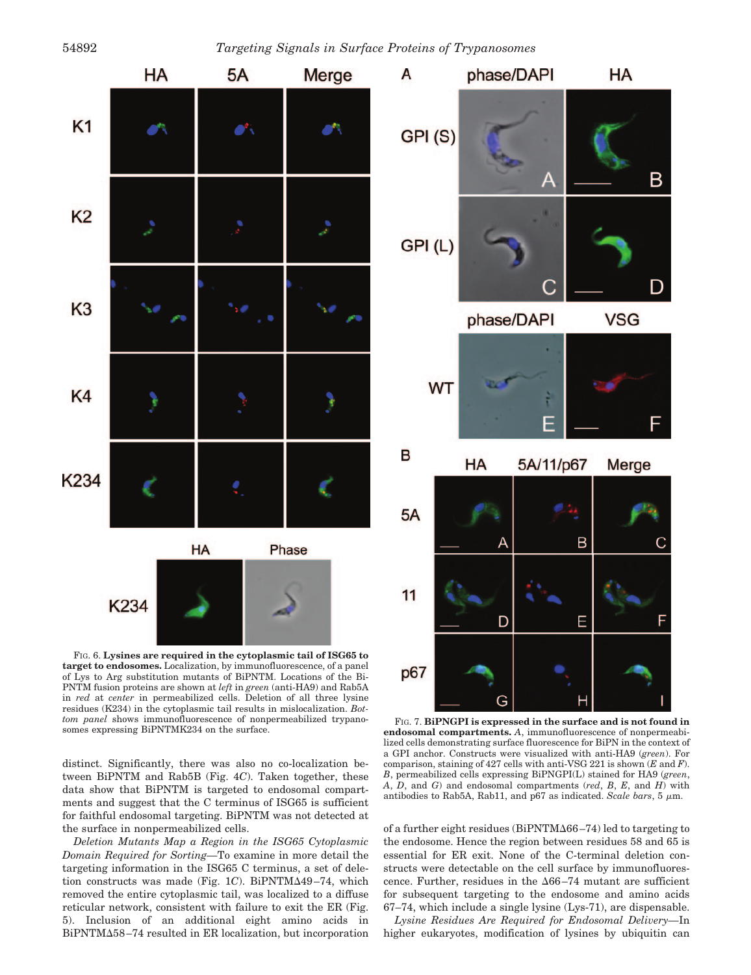54892 *Targeting Signals in Surface Proteins of Trypanosomes*



FIG. 6. **Lysines are required in the cytoplasmic tail of ISG65 to target to endosomes.** Localization, by immunofluorescence, of a panel of Lys to Arg substitution mutants of BiPNTM. Locations of the Bi-PNTM fusion proteins are shown at *left* in *green* (anti-HA9) and Rab5A in *red* at *center* in permeabilized cells. Deletion of all three lysine residues (K234) in the cytoplasmic tail results in mislocalization. *Bottom panel* shows immunofluorescence of nonpermeabilized trypanosomes expressing BiPNTMK234 on the surface.

distinct. Significantly, there was also no co-localization between BiPNTM and Rab5B (Fig. 4*C*). Taken together, these data show that BiPNTM is targeted to endosomal compartments and suggest that the C terminus of ISG65 is sufficient for faithful endosomal targeting. BiPNTM was not detected at the surface in nonpermeabilized cells.

*Deletion Mutants Map a Region in the ISG65 Cytoplasmic Domain Required for Sorting—*To examine in more detail the targeting information in the ISG65 C terminus, a set of deletion constructs was made (Fig. 1C). BiPNTM $\Delta$ 49-74, which removed the entire cytoplasmic tail, was localized to a diffuse reticular network, consistent with failure to exit the ER (Fig. 5). Inclusion of an additional eight amino acids in BiPNTMΔ58-74 resulted in ER localization, but incorporation



FIG. 7. **BiPNGPI is expressed in the surface and is not found in endosomal compartments.** *A*, immunofluorescence of nonpermeabilized cells demonstrating surface fluorescence for BiPN in the context of a GPI anchor. Constructs were visualized with anti-HA9 (*green*). For comparison, staining of 427 cells with anti-VSG 221 is shown (*E* and *F*). *B*, permeabilized cells expressing BiPNGPI(L) stained for HA9 (*green*, *A*, *D*, and *G*) and endosomal compartments (*red*, *B*, *E*, and *H*) with antibodies to Rab5A, Rab11, and  $p67$  as indicated. *Scale bars*, 5  $\mu$ m.

of a further eight residues (BiPNTM $\Delta 66 - 74$ ) led to targeting to the endosome. Hence the region between residues 58 and 65 is essential for ER exit. None of the C-terminal deletion constructs were detectable on the cell surface by immunofluorescence. Further, residues in the  $\Delta 66 - 74$  mutant are sufficient for subsequent targeting to the endosome and amino acids 67–74, which include a single lysine (Lys-71), are dispensable.

*Lysine Residues Are Required for Endosomal Delivery—*In higher eukaryotes, modification of lysines by ubiquitin can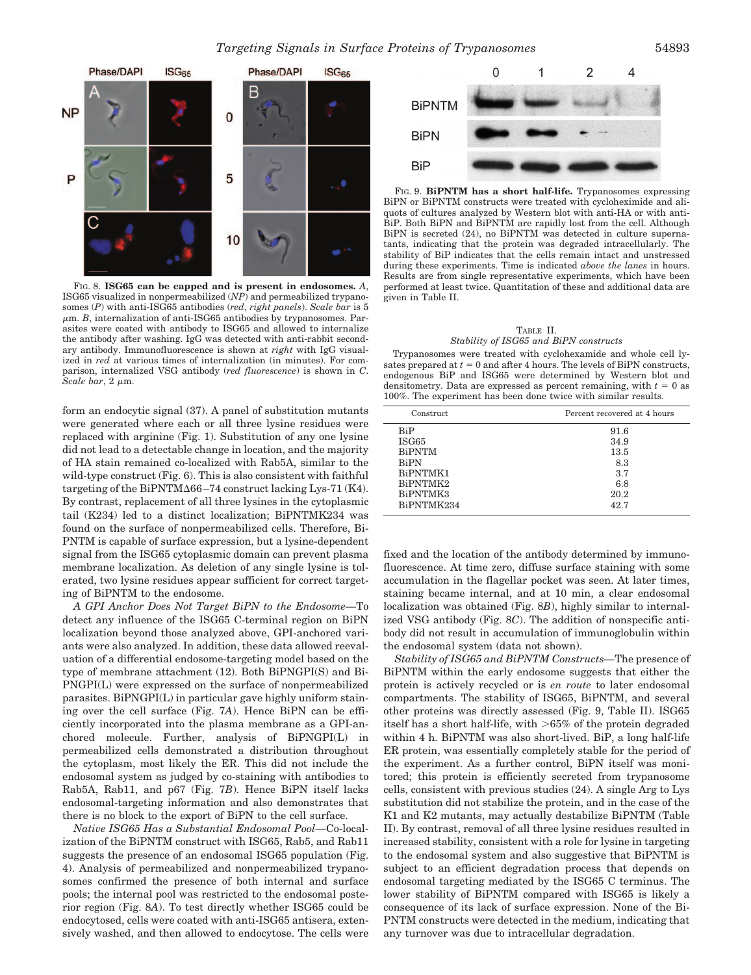

FIG. 8. **ISG65 can be capped and is present in endosomes.** *A*, ISG65 visualized in nonpermeabilized (*NP*) and permeabilized trypanosomes (*P*) with anti-ISG65 antibodies (*red*, *right panels*). *Scale bar* is 5  $\mu$ m. *B*, internalization of anti-ISG65 antibodies by trypanosomes. Parasites were coated with antibody to ISG65 and allowed to internalize the antibody after washing. IgG was detected with anti-rabbit secondary antibody. Immunofluorescence is shown at *right* with IgG visualized in *red* at various times of internalization (in minutes). For comparison, internalized VSG antibody (*red fluorescence*) is shown in *C*. *Scale bar*,  $2 \mu m$ .

form an endocytic signal (37). A panel of substitution mutants were generated where each or all three lysine residues were replaced with arginine (Fig. 1). Substitution of any one lysine did not lead to a detectable change in location, and the majority of HA stain remained co-localized with Rab5A, similar to the wild-type construct (Fig. 6). This is also consistent with faithful targeting of the BiPNTM $\Delta 66 - 74$  construct lacking Lys-71 (K4). By contrast, replacement of all three lysines in the cytoplasmic tail (K234) led to a distinct localization; BiPNTMK234 was found on the surface of nonpermeabilized cells. Therefore, Bi-PNTM is capable of surface expression, but a lysine-dependent signal from the ISG65 cytoplasmic domain can prevent plasma membrane localization. As deletion of any single lysine is tolerated, two lysine residues appear sufficient for correct targeting of BiPNTM to the endosome.

*A GPI Anchor Does Not Target BiPN to the Endosome—*To detect any influence of the ISG65 C-terminal region on BiPN localization beyond those analyzed above, GPI-anchored variants were also analyzed. In addition, these data allowed reevaluation of a differential endosome-targeting model based on the type of membrane attachment (12). Both BiPNGPI(S) and Bi-PNGPI(L) were expressed on the surface of nonpermeabilized parasites. BiPNGPI(L) in particular gave highly uniform staining over the cell surface (Fig. 7*A*). Hence BiPN can be efficiently incorporated into the plasma membrane as a GPI-anchored molecule. Further, analysis of BiPNGPI(L) in permeabilized cells demonstrated a distribution throughout the cytoplasm, most likely the ER. This did not include the endosomal system as judged by co-staining with antibodies to Rab5A, Rab11, and p67 (Fig. 7*B*). Hence BiPN itself lacks endosomal-targeting information and also demonstrates that there is no block to the export of BiPN to the cell surface.

*Native ISG65 Has a Substantial Endosomal Pool—*Co-localization of the BiPNTM construct with ISG65, Rab5, and Rab11 suggests the presence of an endosomal ISG65 population (Fig. 4). Analysis of permeabilized and nonpermeabilized trypanosomes confirmed the presence of both internal and surface pools; the internal pool was restricted to the endosomal posterior region (Fig. 8*A*). To test directly whether ISG65 could be endocytosed, cells were coated with anti-ISG65 antisera, extensively washed, and then allowed to endocytose. The cells were



FIG. 9. **BiPNTM has a short half-life.** Trypanosomes expressing BiPN or BiPNTM constructs were treated with cycloheximide and aliquots of cultures analyzed by Western blot with anti-HA or with anti-BiP. Both BiPN and BiPNTM are rapidly lost from the cell. Although BiPN is secreted (24), no BiPNTM was detected in culture supernatants, indicating that the protein was degraded intracellularly. The stability of BiP indicates that the cells remain intact and unstressed during these experiments. Time is indicated *above the lanes* in hours. Results are from single representative experiments, which have been performed at least twice. Quantitation of these and additional data are given in Table II.

### TABLE II. *Stability of ISG65 and BiPN constructs*

Trypanosomes were treated with cyclohexamide and whole cell lysates prepared at  $t = 0$  and after 4 hours. The levels of BiPN constructs, endogenous BiP and ISG65 were determined by Western blot and densitometry. Data are expressed as percent remaining, with  $t = 0$  as 100%. The experiment has been done twice with similar results.

| Construct     | Percent recovered at 4 hours |
|---------------|------------------------------|
| <b>BiP</b>    | 91.6                         |
| ISG65         | 34.9                         |
| <b>BiPNTM</b> | 13.5                         |
| <b>BiPN</b>   | 8.3                          |
| BiPNTMK1      | 3.7                          |
| BiPNTMK2      | 6.8                          |
| BiPNTMK3      | 20.2                         |
| BiPNTMK234    | 42.7                         |

fixed and the location of the antibody determined by immunofluorescence. At time zero, diffuse surface staining with some accumulation in the flagellar pocket was seen. At later times, staining became internal, and at 10 min, a clear endosomal localization was obtained (Fig. 8*B*), highly similar to internalized VSG antibody (Fig. 8*C*). The addition of nonspecific antibody did not result in accumulation of immunoglobulin within the endosomal system (data not shown).

*Stability of ISG65 and BiPNTM Constructs—*The presence of BiPNTM within the early endosome suggests that either the protein is actively recycled or is *en route* to later endosomal compartments. The stability of ISG65, BiPNTM, and several other proteins was directly assessed (Fig. 9, Table II). ISG65 itself has a short half-life, with  $>65\%$  of the protein degraded within 4 h. BiPNTM was also short-lived. BiP, a long half-life ER protein, was essentially completely stable for the period of the experiment. As a further control, BiPN itself was monitored; this protein is efficiently secreted from trypanosome cells, consistent with previous studies (24). A single Arg to Lys substitution did not stabilize the protein, and in the case of the K1 and K2 mutants, may actually destabilize BiPNTM (Table II). By contrast, removal of all three lysine residues resulted in increased stability, consistent with a role for lysine in targeting to the endosomal system and also suggestive that BiPNTM is subject to an efficient degradation process that depends on endosomal targeting mediated by the ISG65 C terminus. The lower stability of BiPNTM compared with ISG65 is likely a consequence of its lack of surface expression. None of the Bi-PNTM constructs were detected in the medium, indicating that any turnover was due to intracellular degradation.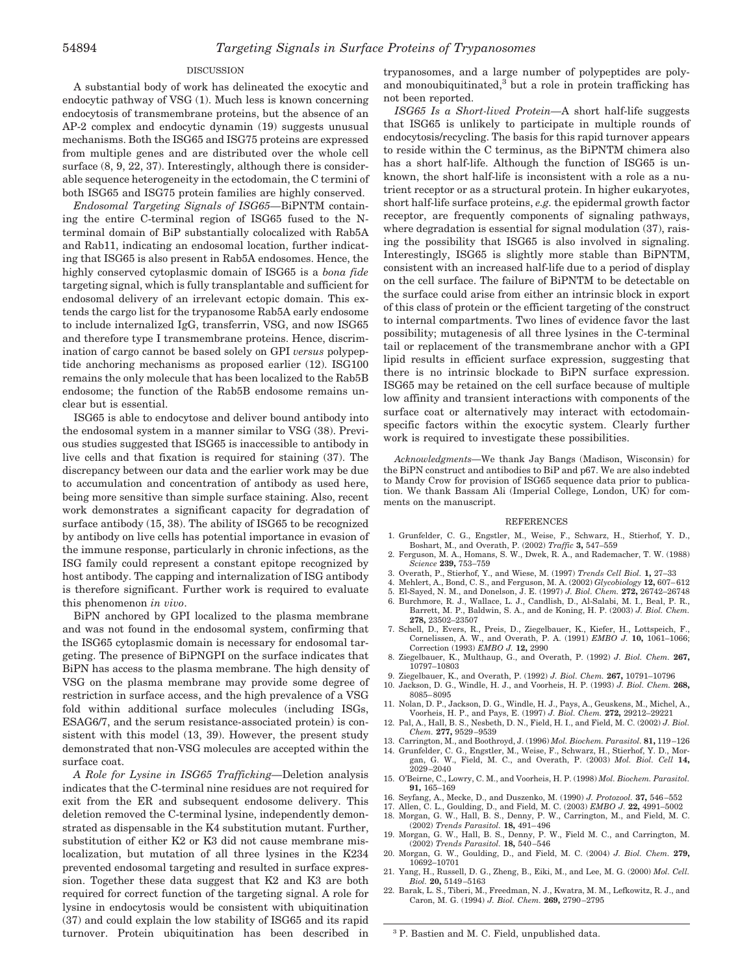### DISCUSSION

A substantial body of work has delineated the exocytic and endocytic pathway of VSG (1). Much less is known concerning endocytosis of transmembrane proteins, but the absence of an AP-2 complex and endocytic dynamin (19) suggests unusual mechanisms. Both the ISG65 and ISG75 proteins are expressed from multiple genes and are distributed over the whole cell surface (8, 9, 22, 37). Interestingly, although there is considerable sequence heterogeneity in the ectodomain, the C termini of both ISG65 and ISG75 protein families are highly conserved.

*Endosomal Targeting Signals of ISG65—*BiPNTM containing the entire C-terminal region of ISG65 fused to the Nterminal domain of BiP substantially colocalized with Rab5A and Rab11, indicating an endosomal location, further indicating that ISG65 is also present in Rab5A endosomes. Hence, the highly conserved cytoplasmic domain of ISG65 is a *bona fide* targeting signal, which is fully transplantable and sufficient for endosomal delivery of an irrelevant ectopic domain. This extends the cargo list for the trypanosome Rab5A early endosome to include internalized IgG, transferrin, VSG, and now ISG65 and therefore type I transmembrane proteins. Hence, discrimination of cargo cannot be based solely on GPI *versus* polypeptide anchoring mechanisms as proposed earlier (12). ISG100 remains the only molecule that has been localized to the Rab5B endosome; the function of the Rab5B endosome remains unclear but is essential.

ISG65 is able to endocytose and deliver bound antibody into the endosomal system in a manner similar to VSG (38). Previous studies suggested that ISG65 is inaccessible to antibody in live cells and that fixation is required for staining (37). The discrepancy between our data and the earlier work may be due to accumulation and concentration of antibody as used here, being more sensitive than simple surface staining. Also, recent work demonstrates a significant capacity for degradation of surface antibody (15, 38). The ability of ISG65 to be recognized by antibody on live cells has potential importance in evasion of the immune response, particularly in chronic infections, as the ISG family could represent a constant epitope recognized by host antibody. The capping and internalization of ISG antibody is therefore significant. Further work is required to evaluate this phenomenon *in vivo*.

BiPN anchored by GPI localized to the plasma membrane and was not found in the endosomal system, confirming that the ISG65 cytoplasmic domain is necessary for endosomal targeting. The presence of BiPNGPI on the surface indicates that BiPN has access to the plasma membrane. The high density of VSG on the plasma membrane may provide some degree of restriction in surface access, and the high prevalence of a VSG fold within additional surface molecules (including ISGs, ESAG6/7, and the serum resistance-associated protein) is consistent with this model (13, 39). However, the present study demonstrated that non-VSG molecules are accepted within the surface coat.

*A Role for Lysine in ISG65 Trafficking—*Deletion analysis indicates that the C-terminal nine residues are not required for exit from the ER and subsequent endosome delivery. This deletion removed the C-terminal lysine, independently demonstrated as dispensable in the K4 substitution mutant. Further, substitution of either K2 or K3 did not cause membrane mislocalization, but mutation of all three lysines in the K234 prevented endosomal targeting and resulted in surface expression. Together these data suggest that K2 and K3 are both required for correct function of the targeting signal. A role for lysine in endocytosis would be consistent with ubiquitination (37) and could explain the low stability of ISG65 and its rapid turnover. Protein ubiquitination has been described in

trypanosomes, and a large number of polypeptides are polyand monoubiquitinated, $3$  but a role in protein trafficking has not been reported.

*ISG65 Is a Short-lived Protein—*A short half-life suggests that ISG65 is unlikely to participate in multiple rounds of endocytosis/recycling. The basis for this rapid turnover appears to reside within the C terminus, as the BiPNTM chimera also has a short half-life. Although the function of ISG65 is unknown, the short half-life is inconsistent with a role as a nutrient receptor or as a structural protein. In higher eukaryotes, short half-life surface proteins, *e.g.* the epidermal growth factor receptor, are frequently components of signaling pathways, where degradation is essential for signal modulation (37), raising the possibility that ISG65 is also involved in signaling. Interestingly, ISG65 is slightly more stable than BiPNTM, consistent with an increased half-life due to a period of display on the cell surface. The failure of BiPNTM to be detectable on the surface could arise from either an intrinsic block in export of this class of protein or the efficient targeting of the construct to internal compartments. Two lines of evidence favor the last possibility; mutagenesis of all three lysines in the C-terminal tail or replacement of the transmembrane anchor with a GPI lipid results in efficient surface expression, suggesting that there is no intrinsic blockade to BiPN surface expression. ISG65 may be retained on the cell surface because of multiple low affinity and transient interactions with components of the surface coat or alternatively may interact with ectodomainspecific factors within the exocytic system. Clearly further work is required to investigate these possibilities.

*Acknowledgments—*We thank Jay Bangs (Madison, Wisconsin) for the BiPN construct and antibodies to BiP and p67. We are also indebted to Mandy Crow for provision of ISG65 sequence data prior to publication. We thank Bassam Ali (Imperial College, London, UK) for comments on the manuscript.

### REFERENCES

- 1. Grunfelder, C. G., Engstler, M., Weise, F., Schwarz, H., Stierhof, Y. D., Boshart, M., and Overath, P. (2002) *Traffic* **3,** 547–559
- 2. Ferguson, M. A., Homans, S. W., Dwek, R. A., and Rademacher, T. W. (1988) *Science* **239,** 753–759
- 3. Overath, P., Stierhof, Y., and Wiese, M. (1997) *Trends Cell Biol.* **1,** 27–33 4. Mehlert, A., Bond, C. S., and Ferguson, M. A. (2002) *Glycobiology* **12,** 607– 612
- 
- 5. El-Sayed, N. M., and Donelson, J. E. (1997) *J. Biol. Chem.* **272,** 26742–26748
- 6. Burchmore, R. J., Wallace, L. J., Candlish, D., Al-Salabi, M. I., Beal, P. R., Barrett, M. P., Baldwin, S. A., and de Koning, H. P. (2003) *J. Biol. Chem.* **278,** 23502–23507
- 7. Schell, D., Evers, R., Preis, D., Ziegelbauer, K., Kiefer, H., Lottspeich, F., Cornelissen, A. W., and Overath, P. A. (1991) *EMBO J.* **10,** 1061–1066; Correction (1993) *EMBO J.* **12,** 2990
- 8. Ziegelbauer, K., Multhaup, G., and Overath, P. (1992) *J. Biol. Chem.* **267,** 10797–10803
- 9. Ziegelbauer, K., and Overath, P. (1992) *J. Biol. Chem.* **267,** 10791–10796
- 10. Jackson, D. G., Windle, H. J., and Voorheis, H. P. (1993) *J. Biol. Chem.* **268,** 8085– 8095
- 11. Nolan, D. P., Jackson, D. G., Windle, H. J., Pays, A., Geuskens, M., Michel, A., Voorheis, H. P., and Pays, E. (1997) *J. Biol. Chem.* **272,** 29212–29221
- 12. Pal, A., Hall, B. S., Nesbeth, D. N., Field, H. I., and Field, M. C. (2002) *J. Biol. Chem.* **277,** 9529 –9539
- 13. Carrington, M., and Boothroyd, J. (1996) *Mol. Biochem. Parasitol.* **81,** 119 –126
- 14. Grunfelder, C. G., Engstler, M., Weise, F., Schwarz, H., Stierhof, Y. D., Morgan, G. W., Field, M. C., and Overath, P. (2003) Mol. Biol. Cell 14, gan, G. W., Field, M. C., and Overath, P. (2003) *Mol. Biol. Cell* **14,** 2029 –2040
- 15. O'Beirne, C., Lowry, C. M., and Voorheis, H. P. (1998) *Mol. Biochem. Parasitol.* **91,** 165–169
- 16. Seyfang, A., Mecke, D., and Duszenko, M. (1990) *J. Protozool.* **37,** 546 –552
- 
- 17. Allen, C. L., Goulding, D., and Field, M. C. (2003) *EMBO J.* **22,** 4991–5002 18. Morgan, G. W., Hall, B. S., Denny, P. W., Carrington, M., and Field, M. C. (2002) *Trends Parasitol.* **18,** 491– 496
- 19. Morgan, G. W., Hall, B. S., Denny, P. W., Field M. C., and Carrington, M. (2002) *Trends Parasitol.* **18,** 540 –546
- 20. Morgan, G. W., Goulding, D., and Field, M. C. (2004) *J. Biol. Chem.* **279,** 10692–10701
- 21. Yang, H., Russell, D. G., Zheng, B., Eiki, M., and Lee, M. G. (2000) *Mol. Cell. Biol.* **20,** 5149 –5163
- 22. Barak, L. S., Tiberi, M., Freedman, N. J., Kwatra, M. M., Lefkowitz, R. J., and Caron, M. G. (1994) *J. Biol. Chem.* **269,** 2790 –2795

<sup>3</sup> P. Bastien and M. C. Field, unpublished data.